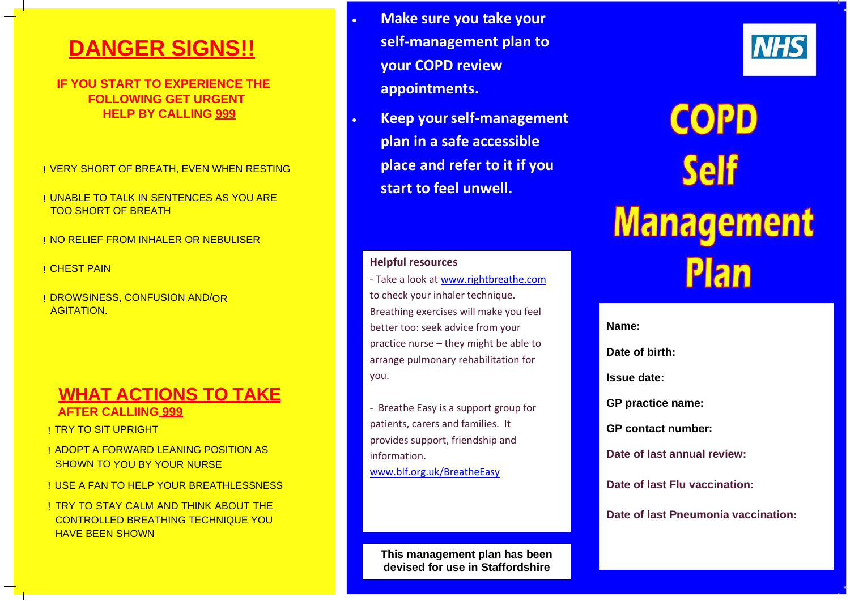## **DANGER SIGNS!!**

**IF YOU START TO EXPERIENCE THE FOLLOWING GET URGENT HELP BY CALLING 999**

! VERY SHORT OF BREATH, EVEN WHEN RESTING

! UNABLE TO TALK IN SENTENCES AS YOU ARE TOO SHORT OF BREATH

! NO RELIEF FROM INHALER OR NEBULISER

! CHEST PAIN

! DROWSINESS, CONFUSION AND/OR **AGITATION** 

### **WHAT ACTIONS TO TAKE AFTER CALLIING 999**

! TRY TO SIT UPRIGHT

- ! ADOPT A FORWARD LEANING POSITION AS SHOWN TO YOU BY YOUR NURSE
- **I USE A FAN TO HELP YOUR BREATHLESSNESS**

**I TRY TO STAY CALM AND THINK ABOUT THE** CONTROLLED BREATHING TECHNIQUE YOU HAVE BEEN SHOWN

- **Make sure you take your self-management plan to your COPD review appointments.**
- **Keep yourself-management plan in a safe accessible place and refer to it if you start to feel unwell.**

#### **Helpful resources**

- Take a look a[t www.rightbreathe.com](http://www.rightbreathe.com/) to check your inhaler technique. Breathing exercises will make you feel better too: seek advice from your practice nurse – they might be able to arrange pulmonary rehabilitation for you.
- Breathe Easy is a support group for patients, carers and families. It provides support, friendship and information.

[www.blf.org.uk/BreatheEasy](http://www.blf.org.uk/BreatheEasy)

**This management plan has been devised for use in Staffordshire**



# **COPD Self Management Plan**

**Name:**

**Date of birth:**

**Issue date:**

**GP practice name:**

**GP contact number:**

**Date of last annual review:**

**Date of last Flu vaccination:**

**Date of last Pneumonia vaccination:**